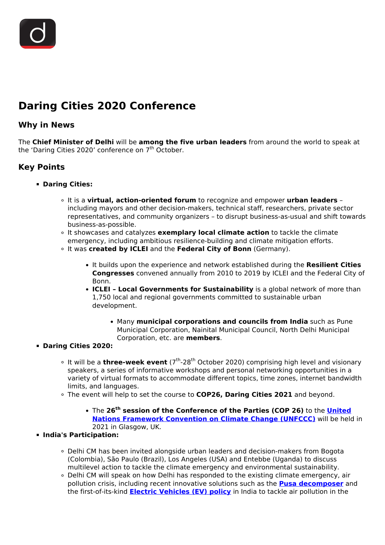# **Daring Cities 2020 Conference**

### **Why in News**

The **Chief Minister of Delhi** will be **among the five urban leaders** from around the world to speak at the 'Daring Cities 2020' conference on  $7<sup>th</sup>$  October.

## **Key Points**

- **Daring Cities:**
	- It is a **virtual, action-oriented forum** to recognize and empower **urban leaders** including mayors and other decision-makers, technical staff, researchers, private sector representatives, and community organizers – to disrupt business-as-usual and shift towards business-as-possible.
	- It showcases and catalyzes **exemplary local climate action** to tackle the climate emergency, including ambitious resilience-building and climate mitigation efforts.
	- It was **created by ICLEI** and the **Federal City of Bonn** (Germany).
		- It builds upon the experience and network established during the **Resilient Cities Congresses** convened annually from 2010 to 2019 by ICLEI and the Federal City of Bonn.
		- **ICLEI Local Governments for Sustainability** is a global network of more than 1,750 local and regional governments committed to sustainable urban development.
			- Many **municipal corporations and councils from India** such as Pune Municipal Corporation, Nainital Municipal Council, North Delhi Municipal Corporation, etc. are **members**.

#### **Daring Cities 2020:**

- <sup>o</sup> It will be a **three-week event** (7<sup>th</sup>-28<sup>th</sup> October 2020) comprising high level and visionary speakers, a series of informative workshops and personal networking opportunities in a variety of virtual formats to accommodate different topics, time zones, internet bandwidth limits, and languages.
- The event will help to set the course to **COP26, Daring Cities 2021** and beyond.
	- The **26th session of the Conference of the Parties (COP 26)** to the **[United](/important-institutions/drishti-specials-important-institutions-international-institution/unfccc) [Nations Framework Convention on Climate Change \(UNFCCC\)](/important-institutions/drishti-specials-important-institutions-international-institution/unfccc)** will be held in 2021 in Glasgow, UK.

#### **India's Participation:**

- Delhi CM has been invited alongside urban leaders and decision-makers from Bogota (Colombia), São Paulo (Brazil), Los Angeles (USA) and Entebbe (Uganda) to discuss multilevel action to tackle the climate emergency and environmental sustainability.
- Delhi CM will speak on how Delhi has responded to the existing climate emergency, air pollution crisis, including recent innovative solutions such as the **[Pusa decomposer](/daily-updates/daily-news-analysis/pusa-decomposer-to-curb-stubble-burning)** and the first-of-its-kind **[Electric Vehicles \(EV\) policy](/daily-updates/daily-news-analysis/electric-vehicles-policy-2020-delhi#:~:text=5%2C000%20per%20kWh%20of%20the,be%20given%2C%20capped%20at%20Rs.)** in India to tackle air pollution in the